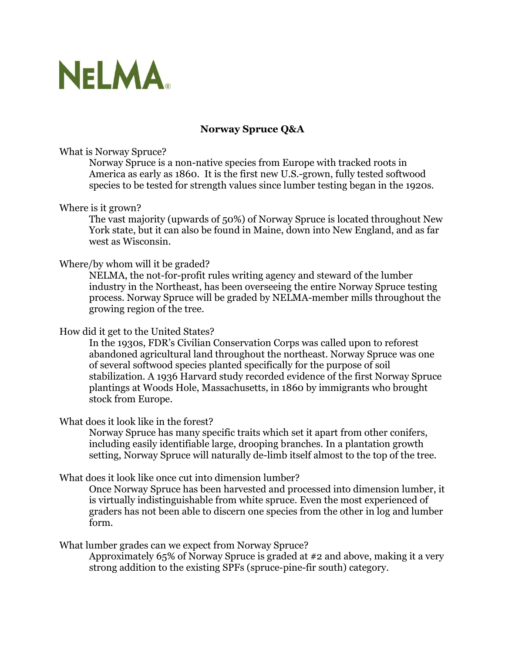

# **Norway Spruce Q&A**

## What is Norway Spruce?

Norway Spruce is a non-native species from Europe with tracked roots in America as early as 1860. It is the first new U.S.-grown, fully tested softwood species to be tested for strength values since lumber testing began in the 1920s.

## Where is it grown?

The vast majority (upwards of 50%) of Norway Spruce is located throughout New York state, but it can also be found in Maine, down into New England, and as far west as Wisconsin.

## Where/by whom will it be graded?

NELMA, the not-for-profit rules writing agency and steward of the lumber industry in the Northeast, has been overseeing the entire Norway Spruce testing process. Norway Spruce will be graded by NELMA-member mills throughout the growing region of the tree.

### How did it get to the United States?

In the 1930s, FDR's Civilian Conservation Corps was called upon to reforest abandoned agricultural land throughout the northeast. Norway Spruce was one of several softwood species planted specifically for the purpose of soil stabilization. A 1936 Harvard study recorded evidence of the first Norway Spruce plantings at Woods Hole, Massachusetts, in 1860 by immigrants who brought stock from Europe.

#### What does it look like in the forest?

Norway Spruce has many specific traits which set it apart from other conifers, including easily identifiable large, drooping branches. In a plantation growth setting, Norway Spruce will naturally de-limb itself almost to the top of the tree.

## What does it look like once cut into dimension lumber?

Once Norway Spruce has been harvested and processed into dimension lumber, it is virtually indistinguishable from white spruce. Even the most experienced of graders has not been able to discern one species from the other in log and lumber form.

#### What lumber grades can we expect from Norway Spruce?

Approximately 65% of Norway Spruce is graded at #2 and above, making it a very strong addition to the existing SPFs (spruce-pine-fir south) category.